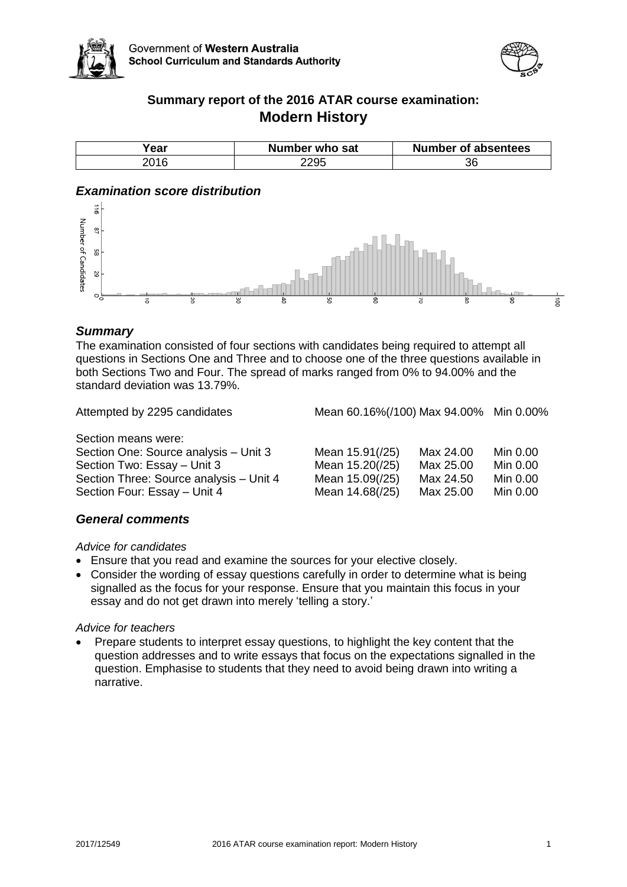



# **Summary report of the 2016 ATAR course examination: Modern History**

| ear  | Number who sat | Number of absentees |
|------|----------------|---------------------|
| 2016 |                | 36                  |

# *Examination score distribution*



## *Summary*

The examination consisted of four sections with candidates being required to attempt all questions in Sections One and Three and to choose one of the three questions available in both Sections Two and Four. The spread of marks ranged from 0% to 94.00% and the standard deviation was 13.79%.

Attempted by 2295 candidates Mean 60.16%(/100) Max 94.00% Min 0.00%

Section means were: Section One: Source analysis – Unit 3 Section Two: Essay - Unit 3 Section Three: Source analysis - Unit 4 Section Four: Essay - Unit 4

| Mean 15.91(/25) | Max 24.00 | Min 0.00 |
|-----------------|-----------|----------|
| Mean 15.20(/25) | Max 25.00 | Min 0.00 |
| Mean 15.09(/25) | Max 24.50 | Min 0.00 |
| Mean 14.68(/25) | Max 25.00 | Min 0.00 |

### *General comments*

## *Advice for candidates*

- Ensure that you read and examine the sources for your elective closely.
- Consider the wording of essay questions carefully in order to determine what is being signalled as the focus for your response. Ensure that you maintain this focus in your essay and do not get drawn into merely 'telling a story.'

#### *Advice for teachers*

 Prepare students to interpret essay questions, to highlight the key content that the question addresses and to write essays that focus on the expectations signalled in the question. Emphasise to students that they need to avoid being drawn into writing a narrative.